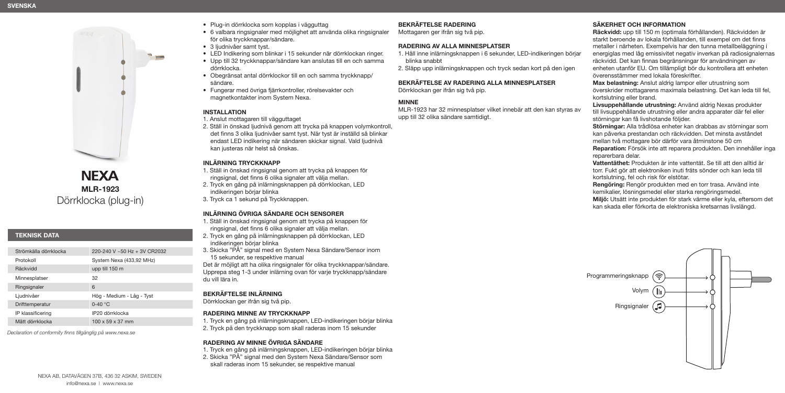

**NEXA MLR-1923** Dörrklocka (plug-in)

# **TEKNISK DATA**

| Strömkälla dörrklocka | 220-240 V ~50 Hz + 3V CR2032 |
|-----------------------|------------------------------|
| Protokoll             | System Nexa (433,92 MHz)     |
| Räckvidd              | upp till 150 m               |
| Minnesplatser         | 32                           |
| Ringsignaler          | 6                            |
| Ljudnivåer            | Hög - Medium - Låg - Tyst    |
| Drifttemperatur       | $0-40$ °C                    |
| IP klassificering     | IP20 dörrklocka              |
| Mått dörrklocka       | $100 \times 59 \times 37$ mm |
|                       |                              |

*Declaration of conformity finns tillgänglig på www.nexa.se*

- 6 valbara ringsignaler med möjlighet att använda olika ringsignaler för olika tryckknappar/sändare.
- 3 liudnivåer samt tyst.
- LED Indikering som blinkar i 15 sekunder när dörrklockan ringer. • Upp till 32 tryckknappar/sändare kan anslutas till en och samma
- dörrklocka.
- Obegränsat antal dörrklockor till en och samma tryckknapp/ sändare.
- Fungerar med övriga fjärrkontroller, rörelsevakter och magnetkontakter inom System Nexa.

## **INSTALLATION**

1. Anslut mottagaren till vägguttaget

2. Ställ in önskad ljudnivå genom att trycka på knappen volymkontroll, det finns 3 olika ljudnivåer samt tyst. När tyst är inställd så blinkar endast LED indikering när sändaren skickar signal. Vald ljudnivå kan justeras när helst så önskas.

## **INLÄRNING TRYCKKNAPP**

- 1. Ställ in önskad ringsignal genom att trycka på knappen för ringsignal, det finns 6 olika signaler att välja mellan.
- 2. Tryck en gång på inlärningsknappen på dörrklockan, LED indikeringen börjar blinka
- 3. Tryck ca 1 sekund på Tryckknappen.

# **INLÄRNING ÖVRIGA SÄNDARE OCH SENSORER**

- 1. Ställ in önskad ringsignal genom att trycka på knappen för ringsignal, det finns 6 olika signaler att välja mellan.
- 2. Tryck en gång på inlärningsknappen på dörrklockan, LED indikeringen börjar blinka
- 3. Skicka "PÅ" signal med en System Nexa Sändare/Sensor inom 15 sekunder, se respektive manual

Det är möjligt att ha olika ringsignaler för olika tryckknappar/sändare. Upprepa steg 1-3 under inlärning ovan för varje tryckknapp/sändare du vill lära in.

# **BEKRÄFTELSE INLÄRNING**

Dörrklockan ger ifrån sig två pip.

# **RADERING MINNE AV TRYCKKNAPP**

1. Tryck en gång på inlärningsknappen, LED-indikeringen börjar blinka 2. Tryck på den tryckknapp som skall raderas inom 15 sekunder

# **RADERING AV MINNE ÖVRIGA SÄNDARE**

1. Tryck en gång på inlärningsknappen, LED-indikeringen börjar blinka 2. Skicka "PÅ" signal med den System Nexa Sändare/Sensor som skall raderas inom 15 sekunder, se respektive manual

# **BEKRÄFTELSE RADERING**

# Mottagaren ger ifrån sig två pip.

# **RADERING AV ALLA MINNESPLATSER**

- 1. Håll inne inlärningsknappen i 6 sekunder, LED-indikeringen börjar blinka snabbt
- 2. Släpp upp inlärningsknappen och tryck sedan kort på den igen

#### **BEKRÄFTELSE AV RADERING ALLA MINNESPLATSER**  Dörrklockan ger ifrån sig två pip.

## **MINNE**

MLR-1923 har 32 minnesplatser vilket innebär att den kan styras av upp till 32 olika sändare samtidigt.

# **SÄKERHET OCH INFORMATION**

**Räckvidd:** upp till 150 m (optimala förhållanden). Räckvidden är starkt beroende av lokala förhållanden, till exempel om det finns metaller i närheten. Exempelvis har den tunna metallbeläggning i energiglas med låg emissivitet negativ inverkan på radiosignalernas räckvidd. Det kan finnas begränsningar för användningen av enheten utanför EU. Om tillämpligt bör du kontrollera att enheten överensstämmer med lokala föreskrifter.

**Max belastning:** Anslut aldrig lampor eller utrustning som överskrider mottagarens maximala belastning. Det kan leda till fel, kortslutning eller brand.

**Livsuppehållande utrustning:** Använd aldrig Nexas produkter till livsuppehållande utrustning eller andra apparater där fel eller störningar kan få livshotande följder.

**Störningar:** Alla trådlösa enheter kan drabbas av störningar som kan påverka prestandan och räckvidden. Det minsta avståndet mellan två mottagare bör därför vara åtminstone 50 cm **Reparation:** Försök inte att reparera produkten. Den innehåller inga reparerbara delar.

**Vattentäthet:** Produkten är inte vattentät. Se till att den alltid är torr. Fukt gör att elektroniken inuti fräts sönder och kan leda till kortslutning, fel och risk för elstötar.

**Rengöring:** Rengör produkten med en torr trasa. Använd inte kemikalier, lösningsmedel eller starka rengöringsmedel. **Miljö:** Utsätt inte produkten för stark värme eller kyla, eftersom det kan skada eller förkorta de elektroniska kretsarnas livslängd.

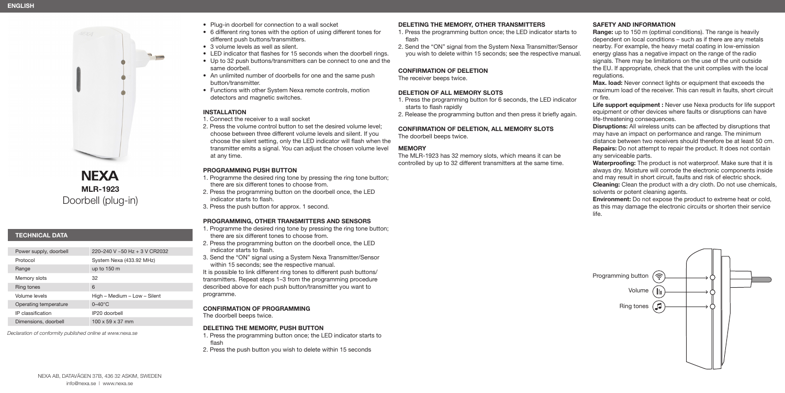

**NEXA MLR-1923** Doorbell (plug-in)

# **TECHNICAL DATA**

| Power supply, doorbell | 220-240 V ~50 Hz + 3 V CR2032 |
|------------------------|-------------------------------|
| Protocol               | System Nexa (433.92 MHz)      |
| Range                  | up to $150 \text{ m}$         |
| Memory slots           | 32                            |
| Ring tones             | 6                             |
| Volume levels          | High - Medium - Low - Silent  |
| Operating temperature  | $0-40^{\circ}$ C              |
| IP classification      | IP20 doorbell                 |
| Dimensions, doorbell   | $100 \times 59 \times 37$ mm  |
|                        |                               |

*Declaration of conformity published online at www.nexa.se*

- Plug-in doorbell for connection to a wall socket
- 6 different ring tones with the option of using different tones for different push buttons/transmitters.
- 3 volume levels as well as silent.
- LED indicator that flashes for 15 seconds when the doorbell rings.
- Up to 32 push buttons/transmitters can be connect to one and the same doorbell.
- An unlimited number of doorbells for one and the same push button/transmitter.
- Functions with other System Nexa remote controls, motion detectors and magnetic switches.

## **INSTALLATION**

1. Connect the receiver to a wall socket

2. Press the volume control button to set the desired volume level; choose between three different volume levels and silent. If you choose the silent setting, only the LED indicator will flash when the transmitter emits a signal. You can adjust the chosen volume level at any time.

## **PROGRAMMING PUSH BUTTON**

- 1. Programme the desired ring tone by pressing the ring tone button; there are six different tones to choose from.
- 2. Press the programming button on the doorbell once, the LED indicator starts to flash.
- 3. Press the push button for approx. 1 second.

## **PROGRAMMING, OTHER TRANSMITTERS AND SENSORS**

- 1. Programme the desired ring tone by pressing the ring tone button; there are six different tones to choose from.
- 2. Press the programming button on the doorbell once, the LED indicator starts to flash.
- 3. Send the "ON" signal using a System Nexa Transmitter/Sensor within 15 seconds; see the respective manual.

It is possible to link different ring tones to different push buttons/ transmitters. Repeat steps 1–3 from the programming procedure described above for each push button/transmitter you want to programme.

## **CONFIRMATION OF PROGRAMMING**

The doorbell beeps twice.

## **DELETING THE MEMORY, PUSH BUTTON**

1. Press the programming button once; the LED indicator starts to flash

2. Press the push button you wish to delete within 15 seconds

# **DELETING THE MEMORY, OTHER TRANSMITTERS**

1. Press the programming button once; the LED indicator starts to flash

2. Send the "ON" signal from the System Nexa Transmitter/Sensor you wish to delete within 15 seconds; see the respective manual.

#### **CONFIRMATION OF DELETION**

The receiver beeps twice.

## **DELETION OF ALL MEMORY SLOTS**

1. Press the programming button for 6 seconds, the LED indicator starts to flash rapidly

2. Release the programming button and then press it briefly again.

## **CONFIRMATION OF DELETION, ALL MEMORY SLOTS**

The doorbell beeps twice.

## **MEMORY**

The MLR-1923 has 32 memory slots, which means it can be controlled by up to 32 different transmitters at the same time.

## **SAFETY AND INFORMATION**

**Range:** up to 150 m (optimal conditions). The range is heavily dependent on local conditions – such as if there are any metals nearby. For example, the heavy metal coating in low-emission energy glass has a negative impact on the range of the radio signals. There may be limitations on the use of the unit outside the EU. If appropriate, check that the unit complies with the local regulations.

**Max. load:** Never connect lights or equipment that exceeds the maximum load of the receiver. This can result in faults, short circuit or fire.

**Life support equipment :** Never use Nexa products for life support equipment or other devices where faults or disruptions can have life-threatening consequences.

**Disruptions:** All wireless units can be affected by disruptions that may have an impact on performance and range. The minimum distance between two receivers should therefore be at least 50 cm. **Repairs:** Do not attempt to repair the product. It does not contain any serviceable parts.

**Waterproofing:** The product is not waterproof. Make sure that it is always dry. Moisture will corrode the electronic components inside and may result in short circuit, faults and risk of electric shock. **Cleaning:** Clean the product with a dry cloth. Do not use chemicals, solvents or potent cleaning agents.

**Environment:** Do not expose the product to extreme heat or cold, as this may damage the electronic circuits or shorten their service life.

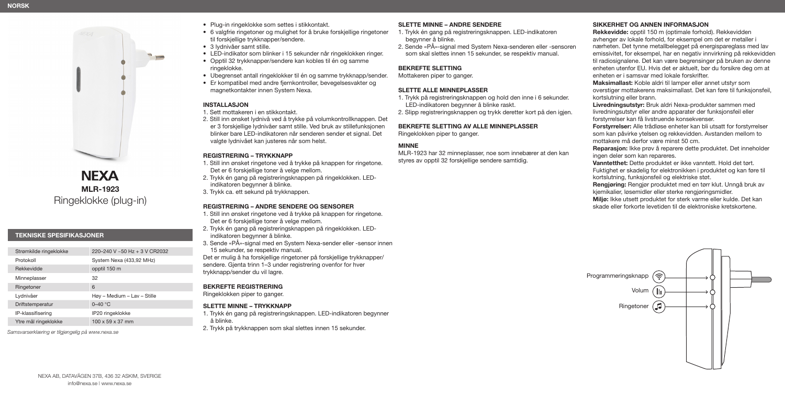

**NEXA MLR-1923** Ringeklokke (plug-in)

## **TEKNISKE SPESIFIKASJONER**

| Strømkilde ringeklokke | 220-240 V ~50 Hz + 3 V CR2032 |
|------------------------|-------------------------------|
| Protokoll              | System Nexa (433,92 MHz)      |
| Rekkevidde             | opptil 150 m                  |
| Minneplasser           | 32                            |
| Ringetoner             | 6                             |
| Lydnivåer              | Høy - Medium - Lav - Stille   |
| Driftstemperatur       | $0-40$ °C                     |
| IP-klassifisering      | IP20 ringeklokke              |
| Ytre mål ringeklokke   | $100 \times 59 \times 37$ mm  |

*Samsvarserklæring er tilgjengelig på www.nexa.se*

- Plug-in ringeklokke som settes i stikkontakt.
- 6 valgfrie ringetoner og mulighet for å bruke forskjellige ringetoner til forskjellige trykknapper/sendere.
- 3 lydnivåer samt stille.
- LED-indikator som blinker i 15 sekunder når ringeklokken ringer.
- Opptil 32 trykknapper/sendere kan kobles til én og samme ringeklokke.
- Ubegrenset antall ringeklokker til én og samme trykknapp/sender.
- Er kompatibel med andre fjernkontroller, bevegelsesvakter og magnetkontakter innen System Nexa.

#### **INSTALLASJON**

#### 1. Sett mottakeren i en stikkontakt.

2. Still inn ønsket lydnivå ved å trykke på volumkontrollknappen. Det er 3 forskjellige lydnivåer samt stille. Ved bruk av stillefunksjonen blinker bare LED-indikatoren når senderen sender et signal. Det valgte lydnivået kan justeres når som helst.

#### **REGISTRERING – TRYKKNAPP**

- 1. Still inn ønsket ringetone ved å trykke på knappen for ringetone. Det er 6 forskjellige toner å velge mellom.
- 2. Trykk én gang på registreringsknappen på ringeklokken. LEDindikatoren begynner å blinke.
- 3. Trykk ca. ett sekund på trykknappen.

## **REGISTRERING – ANDRE SENDERE OG SENSORER**

- 1. Still inn ønsket ringetone ved å trykke på knappen for ringetone. Det er 6 forskjellige toner å velge mellom.
- 2. Trykk én gang på registreringsknappen på ringeklokken. LEDindikatoren begynner å blinke.
- 3. Sende «PÅ»-signal med en System Nexa-sender eller -sensor innen 15 sekunder, se respektiv manual.
- Det er mulig å ha forskjellige ringetoner på forskjellige trykknapper/ sendere. Gjenta trinn 1–3 under registrering ovenfor for hver trykknapp/sender du vil lagre.

## **BEKREFTE REGISTRERING**

Ringeklokken piper to ganger.

## **SLETTE MINNE – TRYKKNAPP**

- 1. Trykk én gang på registreringsknappen. LED-indikatoren begynner å blinke.
- 2. Trykk på trykknappen som skal slettes innen 15 sekunder.

## **SLETTE MINNE – ANDRE SENDERE**

- 1. Trykk én gang på registreringsknappen. LED-indikatoren begynner å blinke.
- 2. Sende «PÅ»-signal med System Nexa-senderen eller -sensoren som skal slettes innen 15 sekunder, se respektiv manual.

## **BEKREFTE SLETTING**

Mottakeren piper to ganger.

#### **SLETTE ALLE MINNEPLASSER**

- 1. Trykk på registreringsknappen og hold den inne i 6 sekunder. LED-indikatoren begynner å blinke raskt.
- 2. Slipp registreringsknappen og trykk deretter kort på den igjen.

#### **BEKREFTE SLETTING AV ALLE MINNEPLASSER**  Ringeklokken piper to ganger.

## **MINNE**

MLR-1923 har 32 minneplasser, noe som innebærer at den kan styres av opptil 32 forskjellige sendere samtidig.

#### **SIKKERHET OG ANNEN INFORMASJON**

**Rekkevidde:** opptil 150 m (optimale forhold). Rekkevidden avhenger av lokale forhold, for eksempel om det er metaller i nærheten. Det tynne metallbelegget på energispareglass med lav emissivitet, for eksempel, har en negativ innvirkning på rekkevidden til radiosignalene. Det kan være begrensinger på bruken av denne enheten utenfor EU. Hvis det er aktuelt, bør du forsikre deg om at enheten er i samsvar med lokale forskrifter.

**Maksimallast:** Koble aldri til lamper eller annet utstyr som overstiger mottakerens maksimallast. Det kan føre til funksjonsfeil, kortslutning eller brann.

**Livredningsutstyr:** Bruk aldri Nexa-produkter sammen med livredningsutstyr eller andre apparater der funksjonsfeil eller forstyrrelser kan få livstruende konsekvenser.

**Forstyrrelser:** Alle trådløse enheter kan bli utsatt for forstyrrelser som kan påvirke ytelsen og rekkevidden. Avstanden mellom to mottakere må derfor være minst 50 cm.

**Reparasjon:** Ikke prøv å reparere dette produktet. Det inneholder ingen deler som kan repareres.

**Vanntetthet:** Dette produktet er ikke vanntett. Hold det tørt. Fuktighet er skadelig for elektronikken i produktet og kan føre til kortslutning, funksjonsfeil og elektriske støt.

**Rengjøring:** Rengjør produktet med en tørr klut. Unngå bruk av kjemikalier, løsemidler eller sterke rengjøringsmidler.

**Miljø:** Ikke utsett produktet for sterk varme eller kulde. Det kan skade eller forkorte levetiden til de elektroniske kretskortene.